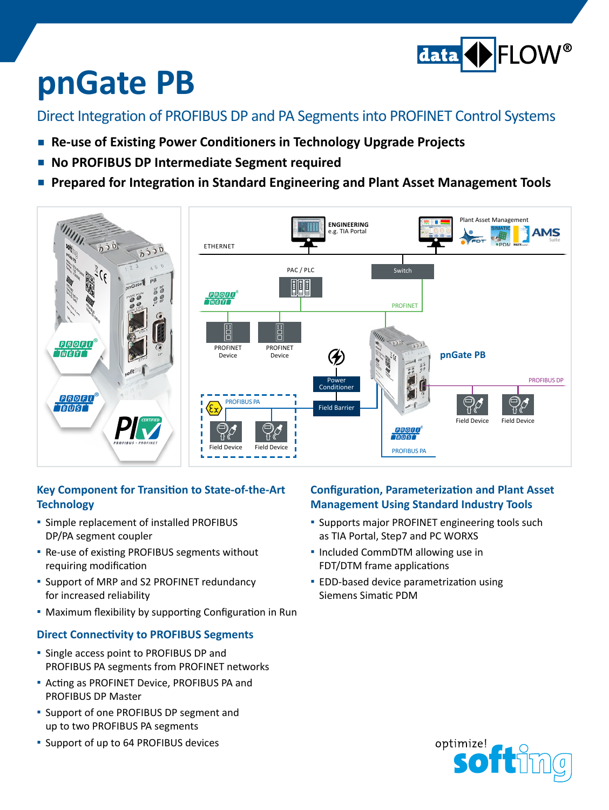

# **pnGate PB**

Direct Integration of PROFIBUS DP and PA Segmentsinto PROFINET Control Systems

- **Re-use of Existing Power Conditioners in Technology Upgrade Projects**
- **▪ No PROFIBUS DP Intermediate Segment required**
- **Prepared for Integration in Standard Engineering and Plant Asset Management Tools**



#### **Key Component for Transition to State-of-the-Art Technology**

- **E** Simple replacement of installed PROFIBUS DP/PA segment coupler
- Re-use of existing PROFIBUS segments without requiring modification
- Support of MRP and S2 PROFINET redundancy for increased reliability
- **▪**  Maximum flexibility by supporting Configuration in Run

### **Direct Connectivity to PROFIBUS Segments**

- **▪**  Single access point to PROFIBUS DP and PROFIBUS PA segments from PROFINET networks
- **▪**  Acting as PROFINET Device, PROFIBUS PA and PROFIBUS DP Master
- **▪**  Support of one PROFIBUS DP segment and up to two PROFIBUS PA segments
- **▪**  Support of up to 64 PROFIBUS devices

### **Configuration, Parameterization and Plant Asset Management Using Standard Industry Tools**

- **.** Supports major PROFINET engineering tools such as TIA Portal, Step7 and PC WORXS
- Included CommDTM allowing use in FDT/DTM frame applications
- **▪** EDD-based device parametrization using Siemens Simatic PDM